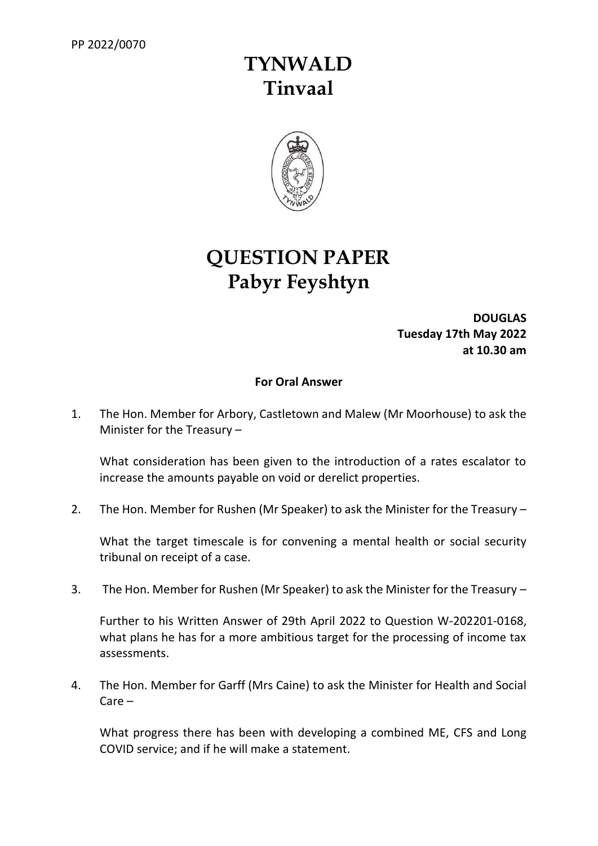## **TYNWALD Tinvaal**



## **QUESTION PAPER Pabyr Feyshtyn**

**DOUGLAS Tuesday 17th May 2022 at 10.30 am**

## **For Oral Answer**

1. The Hon. Member for Arbory, Castletown and Malew (Mr Moorhouse) to ask the Minister for the Treasury –

What consideration has been given to the introduction of a rates escalator to increase the amounts payable on void or derelict properties.

2. The Hon. Member for Rushen (Mr Speaker) to ask the Minister for the Treasury –

What the target timescale is for convening a mental health or social security tribunal on receipt of a case.

3. The Hon. Member for Rushen (Mr Speaker) to ask the Minister for the Treasury –

Further to his Written Answer of 29th April 2022 to Question W-202201-0168, what plans he has for a more ambitious target for the processing of income tax assessments.

4. The Hon. Member for Garff (Mrs Caine) to ask the Minister for Health and Social Care –

What progress there has been with developing a combined ME, CFS and Long COVID service; and if he will make a statement.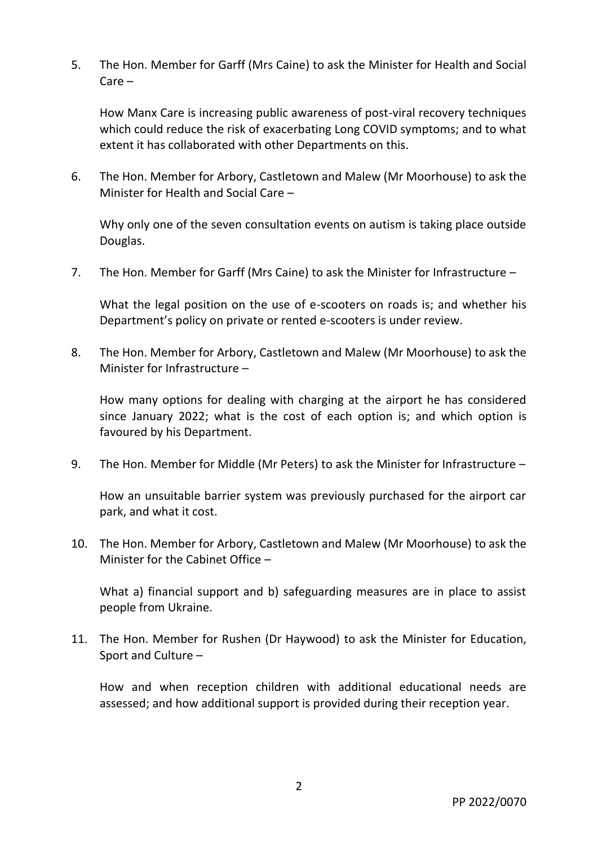5. The Hon. Member for Garff (Mrs Caine) to ask the Minister for Health and Social Care –

How Manx Care is increasing public awareness of post-viral recovery techniques which could reduce the risk of exacerbating Long COVID symptoms; and to what extent it has collaborated with other Departments on this.

6. The Hon. Member for Arbory, Castletown and Malew (Mr Moorhouse) to ask the Minister for Health and Social Care –

Why only one of the seven consultation events on autism is taking place outside Douglas.

7. The Hon. Member for Garff (Mrs Caine) to ask the Minister for Infrastructure –

What the legal position on the use of e-scooters on roads is; and whether his Department's policy on private or rented e-scooters is under review.

8. The Hon. Member for Arbory, Castletown and Malew (Mr Moorhouse) to ask the Minister for Infrastructure –

How many options for dealing with charging at the airport he has considered since January 2022; what is the cost of each option is; and which option is favoured by his Department.

9. The Hon. Member for Middle (Mr Peters) to ask the Minister for Infrastructure –

How an unsuitable barrier system was previously purchased for the airport car park, and what it cost.

10. The Hon. Member for Arbory, Castletown and Malew (Mr Moorhouse) to ask the Minister for the Cabinet Office –

What a) financial support and b) safeguarding measures are in place to assist people from Ukraine.

11. The Hon. Member for Rushen (Dr Haywood) to ask the Minister for Education, Sport and Culture –

How and when reception children with additional educational needs are assessed; and how additional support is provided during their reception year.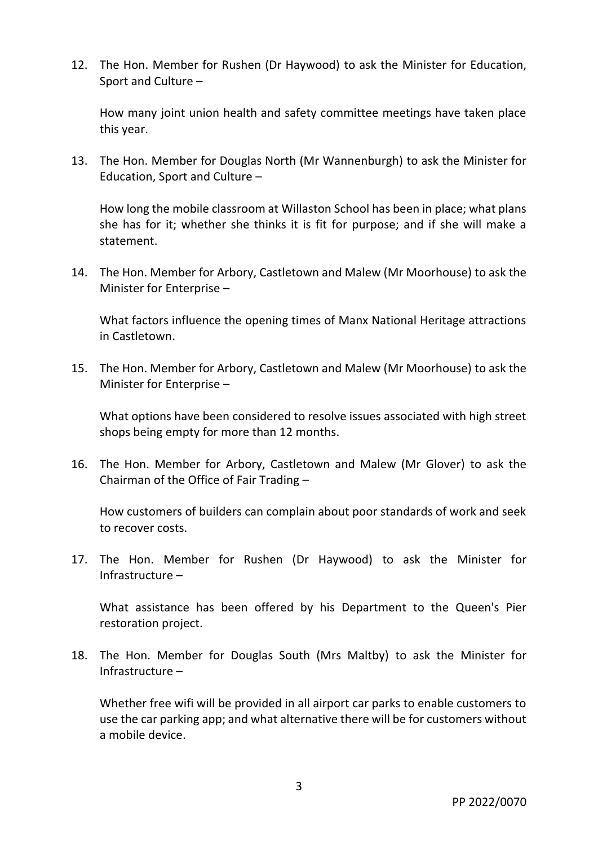12. The Hon. Member for Rushen (Dr Haywood) to ask the Minister for Education, Sport and Culture –

How many joint union health and safety committee meetings have taken place this year.

13. The Hon. Member for Douglas North (Mr Wannenburgh) to ask the Minister for Education, Sport and Culture –

How long the mobile classroom at Willaston School has been in place; what plans she has for it; whether she thinks it is fit for purpose; and if she will make a statement.

14. The Hon. Member for Arbory, Castletown and Malew (Mr Moorhouse) to ask the Minister for Enterprise –

What factors influence the opening times of Manx National Heritage attractions in Castletown.

15. The Hon. Member for Arbory, Castletown and Malew (Mr Moorhouse) to ask the Minister for Enterprise –

What options have been considered to resolve issues associated with high street shops being empty for more than 12 months.

16. The Hon. Member for Arbory, Castletown and Malew (Mr Glover) to ask the Chairman of the Office of Fair Trading –

How customers of builders can complain about poor standards of work and seek to recover costs.

17. The Hon. Member for Rushen (Dr Haywood) to ask the Minister for Infrastructure –

What assistance has been offered by his Department to the Queen's Pier restoration project.

18. The Hon. Member for Douglas South (Mrs Maltby) to ask the Minister for Infrastructure –

Whether free wifi will be provided in all airport car parks to enable customers to use the car parking app; and what alternative there will be for customers without a mobile device.